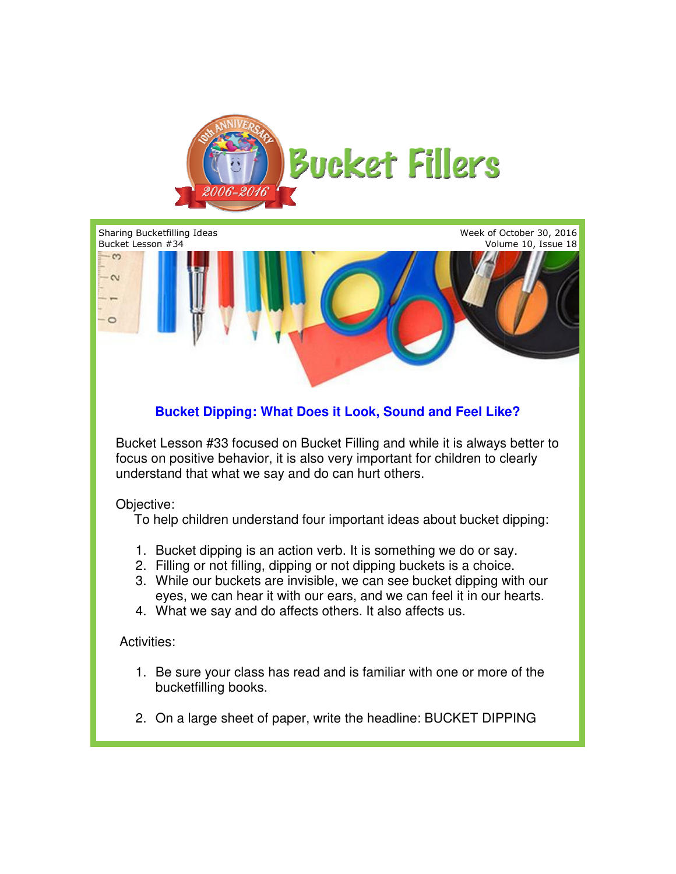



- 
- 2. On a large sheet of paper, write the headline: BUCKET DIPPING